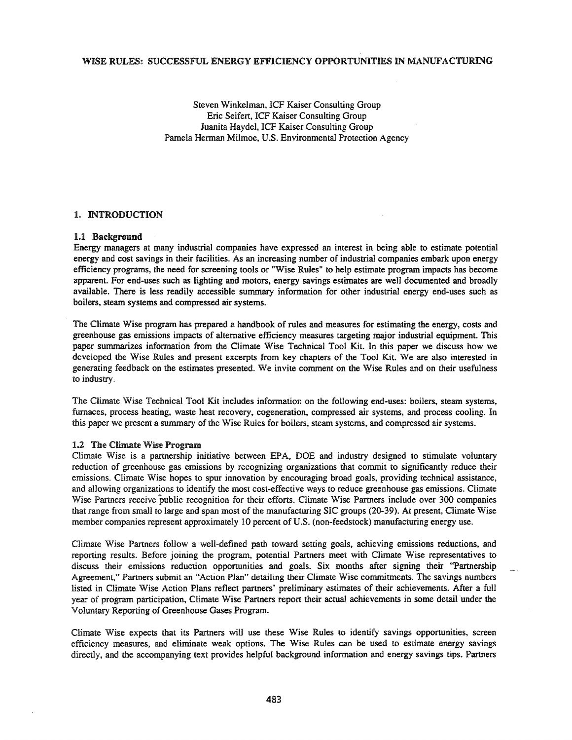### WISE RULES: SUCCESSFUL ENERGY EFFICIENCY OPPORTUNITIES IN MANUFACTURING

Steven Winkelman, ICF Kaiser Consulting Group Eric Seifert, ICF Kaiser Consulting Group Juanita Haydel, ICF Kaiser Consulting Group Pamela Herman Milmoe, U.S. Environmental Protection Agency

### 1. INTRODUCTION

#### 1.1 Background

Energy managers at many industrial companies have expressed an interest in being able to estimate potential energy and cost savings in their facilities. As an increasing number of industrial companies embark upon energy efficiency programs, the need for screening tools or "Wise Rules" to help estimate program impacts has become apparent. For end-uses such as lighting and motors, energy savings estimates are well documented and broadly available. There is less readily accessible summary information for other industrial energy end-uses such as boilers, steam systems and compressed air systems.

The Climate Wise program has prepared a handbook of rules and measures for estimating the energy, costs and greenhouse gas emissions impacts of alternative efficiency measures targeting major industrial equipment. This paper summarizes information from the Climate Wise Technical Tool Kit. In this paper we discuss how we developed the Wise Rules and present excerpts from key chapters of the Tool Kit. We are also interested in generating feedback on the estimates presented. We invite comment on the Wise Rules and on their usefulness to industry.

The Climate Wise Technical Tool Kit includes information on the following end-uses: boilers, steam systems, furnaces, process heating, waste heat recovery, cogeneration, compressed air systems, and process cooling. In this paper we present a summary of the Wise Rules for boilers, steam systems, and compressed air systems.

### 1.2 The Climate Wise Program

Climate Wise is a partnership initiative between EPA, DOE and industry designed to stimulate voluntary reduction of greenhouse gas emissions by recognizing organizations that commit to significantly reduce their emissions. Climate Wise hopes to spur innovation by encouraging broad goals, providing technical assistance, and allowing organizations to identify the most cost-effective ways to reduce greenhouse gas emissions. Climate Wise Partners receive public recognition for their efforts. Climate Wise Partners include over 300 companies that range from small to large and span most of the manufacturing SIC groups (20-39). At present, Climate Wise member companies represent approximately 10 percent of U.S. (non-feedstock) manufacturing energy use.

Climate Wise Partners follow a well-defined path toward setting goals, achieving emissions reductions, and reporting results. Before joining the program, potential Partners meet with Climate Wise representatives to discuss their emissions reduction opportunities and goals. Six months after signing their "Partnership Agreement," Partners submit an "Action Plan" detailing their Climate Wise commitments. The savings numbers listed in Climate Wise Action Plans reflect partners' preliminary estimates of their achievements. After a full yea: of program participation, Climate Wise Partners report their actual achievements in some detail under the Voluntary Reporting of Greenhouse Gases Program.

Climate Wise expects that its Partners will use these Wise Rules to identify savings opportunities, screen efficiency measures, and eliminate weak options. The Wise Rules can be used to estimate energy savings directly, and the accompanying text provides helpful background information and energy savings tips. Partners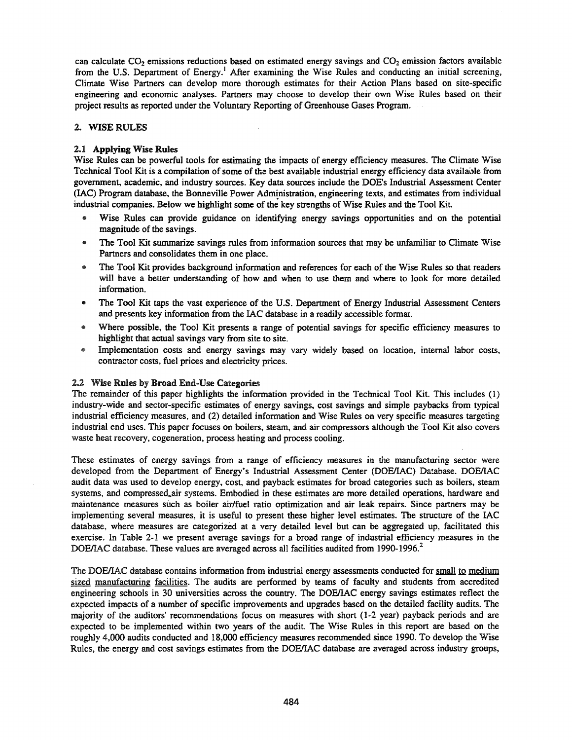can calculate CO<sub>2</sub> emissions reductions based on estimated energy savings and CO<sub>2</sub> emission factors available from the U.S. Department of Energy.<sup>1</sup> After examining the Wise Rules and conducting an initial screening, Climate Wise Partners can develop more thorough estimates for their Action Plans based on site-specific engineering and economic analyses. Partners may choose to develop their own Wise Rules based on their project results as reported under the Voluntary Reporting of Greenhouse Gases Program.

### 2. **WISE** RULES

### 2.1 Applying Wise Rules

Wise Rules can be powerful tools for estimating the impacts of energy efficiency measures. The Climate Wise Technical Tool Kit is a compilation of some of the best available industrial energy efficiency data available from government, academic, and industry sources. Key data sources include the DOE's Industrial Assessment Center (lAC) Program database, the Bonneville Power Administration, engineering texts, and estimates from individual industrial companies. Below we highlight some of the key strengths of Wise Rules and the Tool Kit.

- Wise Rules can provide guidance on identifying energy savings opportunities and on the potential magnitude of the savings.
- The Tool Kit summarize savings rules from information sources that may be unfamiliar to Climate Wise Partners and consolidates them in one place.
- The Tool Kit provides background information and references for each of the Wise Rules so that readers will have a better understanding of how and when to use them and where to look for more detailed information.
- The Tool Kit taps the vast experience of the U.S. Department of Energy Industrial Assessment Centers and presents key information from the lAC database in a readily accessible format.
- Where possible, the Tool Kit presents a range of potential savings for specific efficiency measures to highlight that actual savings vary from site to site.
- o Implementation costs and energy savings may vary widely based on location, internal labor costs, contractor costs, fuel prices and electricity prices.

# 2.2 Wise Rules by Broad End-Use Categories

The remainder of this paper highlights the information provided in the Technical Tool Kit. This includes (1) industry-wide and sector-specific estimates of energy savings, cost savings and simple paybacks from typical industrial efficiency measures, and (2) detailed information and Wise Rules on very specific measures targeting industrial end uses. This paper focuses on boilers, steam, and air compressors although the Tool Kit also covers waste heat recovery, cogeneration, process heating and process cooling.

These estimates of energy savings from a range of efficiency measures in the manufacturing sector were developed from the Department of Energy's Industrial Assessment Center (DOE/IAC) Database. DOE/IAC audit data was used to develop energy, cost, and payback estimates for broad categories such as boilers, steam systems, and compressed, air systems. Embodied in these estimates are more detailed operations, hardware and maintenance measures such as boiler air/fuel ratio optimization and air leak repairs. Since partners may be implementing several measures, it is useful to present these higher level estimates. The structure of the lAC database, where measures are categorized at a very detailed level but can be aggregated up, facilitated this exercise. In Table 2-1 we present average savings for a broad range of industrial efficiency measures in the DOE/IAC database. These values are averaged across all facilities audited from 1990-1996.<sup>2</sup>

The DOE/IAC database contains information from industrial energy assessments conducted for small to medium sized manufacturing facilities. The audits are performed by teams of faculty and students from accredited engineering schools in 30 universities across the country. The DOElIAC energy savings estimates reflect the expected impacts of a number of specific improvements and upgrades based on the detailed facility audits. The majority of the auditors' recommendations focus on measures with short (1-2 year) payback periods and are expected to be implemented within two years of the audit. The Wise Rules in this report are based on the roughly 4,000 audits conducted and 18,000 efficiency measures recommended since 1990. To develop the Wise Rules, the energy and cost savings estimates from the DOElIAC database are averaged across industry groups,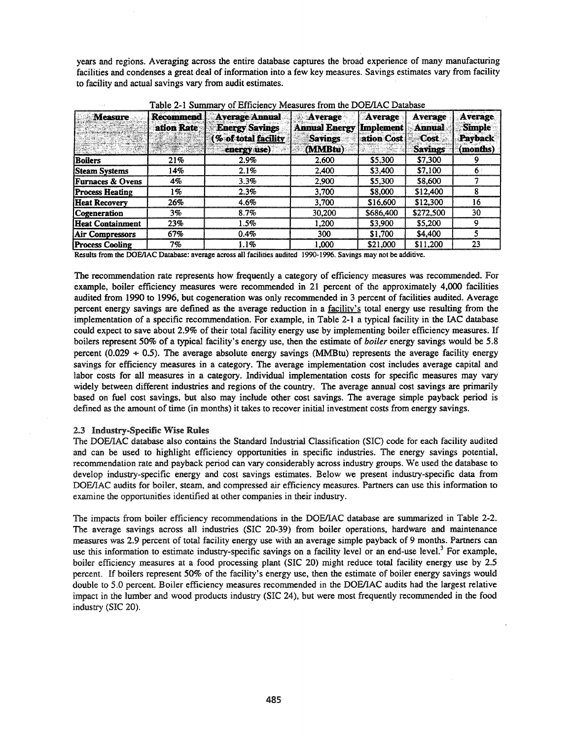years and regions. Averaging across the entire database captures the broad experience of many manufacturing facilities and condenses a great deal of information into a few key measures. Savings estimates vary from facility to facility and actual savings vary from audit estimates.

| <b>Measure</b>              | Recommend<br>ation Rate | <b>Average Annual</b><br><b>Energy Savings</b><br>% of total facility<br>energy use) | Average<br><b>Annual Energy</b><br><b>Savings</b><br>(MMBtu) | Average<br>Implement<br>ation Cost | Average<br><b>Annual</b><br>-Cost<br><b>Savings</b> | <b>Average</b><br><b>Simple</b><br>Payback<br>(months) |
|-----------------------------|-------------------------|--------------------------------------------------------------------------------------|--------------------------------------------------------------|------------------------------------|-----------------------------------------------------|--------------------------------------------------------|
| Boilers                     | 21%                     | $2.9\%$                                                                              | 2,600                                                        | \$5,300                            | \$7,300                                             |                                                        |
| <b>Steam Systems</b>        | 14%                     | 2.1%                                                                                 | 2.400                                                        | \$3,400                            | \$7,100                                             | 6                                                      |
| <b>Furnaces &amp; Ovens</b> | 4%                      | 3.3%                                                                                 | 2,900                                                        | \$5,300                            | \$8,600                                             |                                                        |
| <b>Process Heating</b>      | 1 %                     | 2.3%                                                                                 | 3.700                                                        | \$8,000                            | \$12,400                                            |                                                        |
| <b>Heat Recovery</b>        | 26%                     | 4.6%                                                                                 | 3,700                                                        | \$16,600                           | \$12,300                                            | 16                                                     |
| Cogeneration                | 3%                      | 8.7%                                                                                 | 30.200                                                       | \$686,400                          | \$272,500                                           | 30                                                     |
| <b>Heat Containment</b>     | 23%                     | 1.5%                                                                                 | 1,200                                                        | \$3,900                            | \$5,200                                             | Ω                                                      |
| <b>Air Compressors</b>      | 67%                     | 0.4%                                                                                 | 300                                                          | \$1,700                            | \$4,400                                             | 5                                                      |
| <b>Process Cooling</b>      | 7%                      | 1.1%                                                                                 | 1.000                                                        | \$21,000                           | \$11,200                                            | 23                                                     |

Table 2-1 Summary of Efficiency Measures from the DOE/IAC Database

Results from the DOElIAC Database: average across all facilities audited 1990-1996. Savings may not be additive.

The recommendation rate represents how frequently a category of efficiency measures was recommended. For example, boiler efficiency measures were recommended in 21 percent of the approximately 4,000 facilities audited from 1990 to 1996, but cogeneration was only recommended in 3 percent of facilities audited. Average percent energy savings are defined as the average reduction in a facility's total energy use resulting from the implementation of a specific recommendation. For example, in Table 2-1 a typical facility in the lAC database could expect to save about 2.9% of their total facility energy use by implementing boiler efficiency measures. If boilers represent 50% of a typical facility's energy use, then the estimate of *boiler* energy savings would be 5.8 percent (0.029  $\div$  0.5). The average absolute energy savings (MMBtu) represents the average facility energy savings for efficiency measures in a category. The average implementation cost includes average capital and labor costs for all measures in a category. Individual implementation costs for specific measures may vary widely between different industries and regions of the country. The average annual cost savings are primarily based on fuel cost savings, but also may include other cost savings. The average simple payback period is defined as the amount of time (in months) it takes to recover initial investment costs from energy savings.

### 2.3 Industry-Specific Wise Rules

The DOElIAC database also contains the Standard Industrial Classification (SIC) code for each facility audited and can be used to highlight efficiency opportunities in specific industries. The energy savings potential, recommendation rate and payback period can vary considerably across industry groups. We used the database to develop industry-specific energy and cost savings estimates. Below we present industry-specific data from DOE/IAC audits for boiler, steam, and compressed air efficiency measures. Partners can use this information to examine the opportunities identified at other companies in their industry.

The impacts from boiler efficiency recommendations in the DOE/IAC database are summarized in Table 2-2. The average savings across all industries (SIC 20-39) from boiler operations, hardware and maintenance measures was 2.9 percent of total facility energy use with an average simple payback of 9 months. Partners can use this information to estimate industry-specific savings on a facility level or an end-use level.<sup>3</sup> For example, boiler efficiency measures at a food processing plant (SIC 20) might reduce total facility energy use by 2.5 percent. If boilers represent 50% of the facility's energy use, then the estimate of boiler energy savings would double to 5.0 percent. Boiler efficiency measures recommended in the DOE/IAC audits had the largest relative impact in the lumber and wood products industry (SIC 24), but were most frequently recommended in the food industry (SIC 20).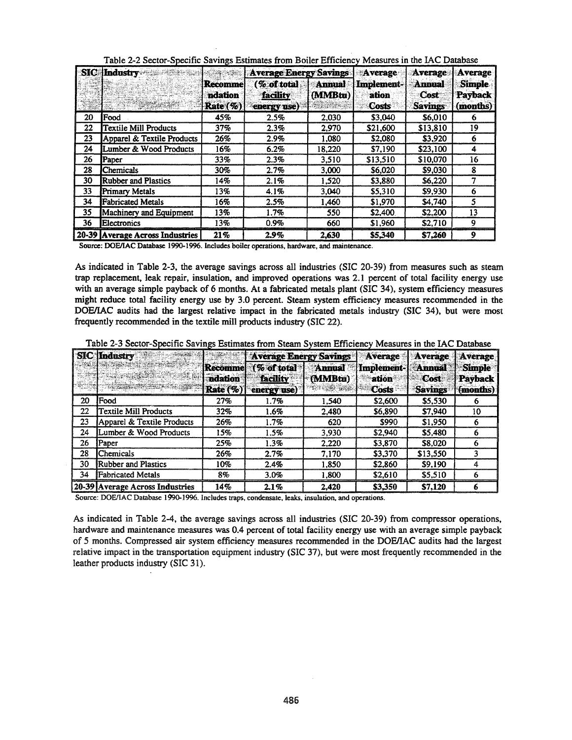|    | <b>SIC</b> Industry             | <u> 1924 - 1931 </u>                   | <b>Average Energy Savings</b>          |                          | Average                      | Average                                 | Average                              |
|----|---------------------------------|----------------------------------------|----------------------------------------|--------------------------|------------------------------|-----------------------------------------|--------------------------------------|
|    |                                 | Recommel<br>ndation<br><b>Rate</b> (%) | (% of total<br>facility<br>energy use) | <b>Annual</b><br>(MMBtu) | Implement-<br>ation<br>Costs | <b>Annual</b><br>Cost<br><b>Savings</b> | <b>Simple</b><br>Payback<br>(months) |
| 20 | <b>IFood</b>                    | 45%                                    | 2.5%                                   | 2.030                    | \$3,040                      | \$6,010                                 | o                                    |
| 22 | Textile Mill Products           | 37%                                    | 2.3%                                   | 2.970                    | \$21,600                     | \$13,810                                | 19                                   |
| 23 | Apparel & Textile Products      | 26%                                    | 2.9%                                   | 1.080                    | \$2,080                      | \$3,920                                 | 6                                    |
| 24 | Lumber & Wood Products          | 16%                                    | 6.2%                                   | 18,220                   | \$7.190                      | \$23.100                                | 4                                    |
| 26 | Paper                           | 33%                                    | 2.3%                                   | 3.510                    | \$13.510                     | \$10,070                                | 16                                   |
| 28 | <b>Chemicals</b>                | 30%                                    | 2.7%                                   | 3,000                    | \$6,020                      | \$9,030                                 | 8                                    |
| 30 | <b>Rubber and Plastics</b>      | 14%                                    | 2.1%                                   | 1.520                    | \$3,880                      | \$6.220                                 |                                      |
| 33 | Primary Metals                  | 13%                                    | 4.1%                                   | 3.040                    | \$5,310                      | \$9,930                                 |                                      |
| 34 | <b>Fabricated Metals</b>        | 16%                                    | 2.5%                                   | 1,460                    | \$1,970                      | \$4,740                                 |                                      |
| 35 | Machinery and Equipment         | 13%                                    | 1.7%                                   | 550                      | \$2,400                      | \$2,200                                 | 13                                   |
| 36 | Electronics                     | 13%                                    | 0.9%                                   | 660                      | \$1,960                      | \$2,710                                 | Q                                    |
|    | 20-39 Average Across Industries | 21%                                    | 2.9%                                   | 2.630                    | \$5,340                      | \$7.260                                 | 9                                    |

Table 2-2 Sector-Specific Savings Estimates from Boiler Efficiency Measures in the IAC Database

Source: DOE/IAC Database 1990-1996. Includes boiler operations, hardware, and maintenance.

As indicated in Table 2-3. the average savings across all industries (SIC 20-39) from measures such as steam trap replacement. leak repair. insulation. and improved operations was 2.1 percent of total facility energy use with an average simple payback of 6 months. At a fabricated metals plant (SIC 34). system efficiency measures might reduce total facility energy use by 3.0 percent. Steam system efficiency measures recommended in the DOE/IAC audits had the largest relative impact in the fabricated metals industry (SIC 34), but were most frequently recommended in the textile mill products industry (SIC 22).

Table 2-3 Sector-Specific Savings Estimates from Steam System Efficiency Measures in the IAC Database

|    | <b>SIC</b> Industry             |                                              | <b>Average Energy Savings</b>                 |                                                         | Average                      | <b>Average</b>                          | Average                              |
|----|---------------------------------|----------------------------------------------|-----------------------------------------------|---------------------------------------------------------|------------------------------|-----------------------------------------|--------------------------------------|
|    |                                 | <b>Recomme</b><br><b>ndation</b><br>Rate (%) | (% of total<br><b>facility</b><br>energy use) | <b>Annual</b><br>(MMBtu)<br><b>All and Constitution</b> | Implement-<br>ation<br>Costs | <b>Annual</b><br>Cost<br><b>Savings</b> | <b>Simple</b><br>Payback<br>(months) |
| 20 | Food                            | 27%                                          | 1.7%                                          | 1.540                                                   | \$2,600                      | \$5,530                                 |                                      |
| 22 | <b>Textile Mill Products</b>    | 32%                                          | 1.6%                                          | 2,480                                                   | \$6,890                      | \$7,940                                 | 10                                   |
| 23 | Apparel & Textile Products      | 26%                                          | 1.7%                                          | 620                                                     | \$990                        | \$1,950                                 |                                      |
| 24 | Lumber & Wood Products          | 15%                                          | 1.5%                                          | 3.930                                                   | \$2,940                      | \$5,480                                 |                                      |
| 26 | Paper                           | 25%                                          | 1.3%                                          | 2,220                                                   | \$3,870                      | \$8,020                                 |                                      |
| 28 | Chemicals                       | 26%                                          | 2.7%                                          | 7.170                                                   | \$3,370                      | \$13,550                                |                                      |
| 30 | Rubber and Plastics             | 10%                                          | 2.4%                                          | 1.850                                                   | \$2,860                      | \$9,190                                 |                                      |
| 34 | Fabricated Metals               | 8%                                           | 3.0%                                          | 1.800                                                   | \$2,610                      | \$5,510                                 |                                      |
|    | 20-39 Average Across Industries | 14%                                          | 2.1%                                          | 2,420                                                   | \$3,350                      | \$7,120                                 |                                      |

Source: DOE/lAC Database 1990-1996. Includes traps, condensate, leaks. insulation. and operations.

As indicated in Table 2-4. the average savings across all industries (SIC 20-39) from compressor operations. hardware and maintenance measures was 0.4 percent of total facility energy use with an average simple payback of 5 months. Compressed air system efficiency measures recommended in the DOElIAC audits had the largest relative impact in the transportation equipment industry (SIC 37). but were most frequently recommended in the leather products industry (SIC 31).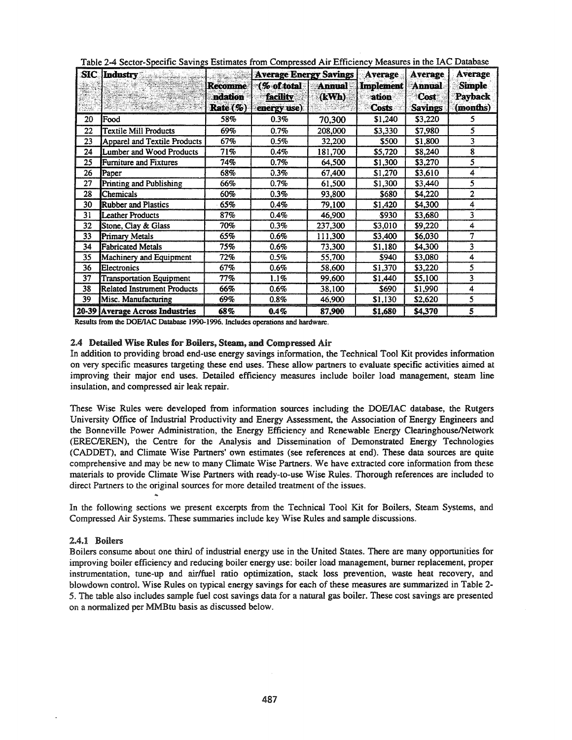| $\bf{SIC}$ | <b>Industry</b><br>المواسعة كالملا |                                       | <b>Average Energy Savings</b>                  |                        | <b>Average</b>                            | Average                                 | <b>Average</b>                              |
|------------|------------------------------------|---------------------------------------|------------------------------------------------|------------------------|-------------------------------------------|-----------------------------------------|---------------------------------------------|
|            |                                    | <b>Recomme</b><br>ndation<br>Rate (%) | $\lceil$ % of total<br>facility<br>energy use) | <b>Annual</b><br>(kWh) | <b>Implement</b><br>ation<br><b>Costs</b> | <b>Annual</b><br>Cost<br><b>Savings</b> | <b>Simple</b><br><b>Payback</b><br>(months) |
| 20         | Food                               | 58%                                   | 0.3%                                           | 70,300                 | \$1,240                                   | \$3,220                                 | 5                                           |
| 22         | <b>Textile Mill Products</b>       | 69%                                   | 0.7%                                           | 208,000                | \$3,330                                   | \$7,980                                 | 5                                           |
| 23         | Apparel and Textile Products       | 67%                                   | 0.5%                                           | 32,200                 | \$500                                     | \$1,800                                 | 3                                           |
| 24         | Lumber and Wood Products           | 71%                                   | 0.4%                                           | 181,700                | \$5,720                                   | \$8,240                                 | 8                                           |
| 25         | Furniture and Fixtures             | 74%                                   | 0.7%                                           | 64,500                 | \$1,300                                   | \$3,270                                 | 5                                           |
| 26         | Paper                              | 68%                                   | 0.3%                                           | 67,400                 | \$1,270                                   | \$3,610                                 | 4                                           |
| 27         | Printing and Publishing            | 66%                                   | 0.7%                                           | 61,500                 | \$1,300                                   | \$3,440                                 | 5                                           |
| 28         | Chemicals                          | 60%                                   | 0.3%                                           | 93,800                 | \$680                                     | \$4,220                                 | 2                                           |
| 30         | <b>Rubber and Plastics</b>         | 65%                                   | 0.4%                                           | 79,100                 | \$1,420                                   | \$4,300                                 | 4                                           |
| 31         | <b>Leather Products</b>            | 87%                                   | 0.4%                                           | 46,900                 | \$930                                     | \$3,680                                 | 3                                           |
| 32         | Stone, Clay & Glass                | 70%                                   | 0.3%                                           | 237,300                | \$3,010                                   | \$9,220                                 | 4                                           |
| 33         | <b>Primary Metals</b>              | 65%                                   | 0.6%                                           | 111,300                | \$3,400                                   | \$6,030                                 | 7                                           |
| 34         | <b>Fabricated Metals</b>           | 75%                                   | 0.6%                                           | 73,300                 | \$1,180                                   | \$4,300                                 | 3                                           |
| 35         | Machinery and Equipment            | 72%                                   | 0.5%                                           | 55,700                 | \$940                                     | \$3,080                                 | 4                                           |
| 36         | Electronics                        | 67%                                   | 0.6%                                           | 58,600                 | \$1,370                                   | \$3,220                                 | 5                                           |
| 37         | <b>Transportation Equipment</b>    | 77%                                   | 1.1%                                           | 99,600                 | \$1,440                                   | \$5,100                                 | 3                                           |
| 38         | Related Instrument Products        | 66%                                   | 0.6%                                           | 38,100                 | \$690                                     | \$1,990                                 | 4                                           |
| 39         | Misc. Manufacturing                | 69%                                   | 0.8%                                           | 46,900                 | \$1,130                                   | \$2,620                                 | 5                                           |
|            | 20-39 Average Across Industries    | 68%                                   | $0.4\%$                                        | 87,900                 | \$1,680                                   | \$4,370                                 | 5                                           |

|  |  |  | Table 2-4 Sector-Specific Savings Estimates from Compressed Air Efficiency Measures in the IAC Database |
|--|--|--|---------------------------------------------------------------------------------------------------------|
|  |  |  |                                                                                                         |

Results from the DOE/IAC Database 1990-1996. Includes operations and hardware.

### 2.4 Detailed Wise Rules for Boilers, Steam, and Compressed Air

In addition to providing broad end-use energy savings information, the Technical Tool Kit provides information on very specific measures targeting these end uses. These allow partners to evaluate specific activities aimed at improving their major end uses. Detailed efficiency measures include boiler load management, steam line insulation, and compressed air leak repair.

These Wise Rules were developed from information sources including the DOElIAC database, the Rutgers University Office of Industrial Productivity and Energy Assessment, the Association of Energy Engineers and the Bonneville Power Administration, the Energy Efficiency and Renewable Energy Clearinghouse/Network (ERECIEREN), the Centre for the Analysis and Dissemination of Demonstrated Energy Technologies (CADDET), and Climate Wise Partners' own estimates (see references at end). These data sources are quite comprehensive and may be new to many Climate Wise Partners. We have extracted core information from these materials to provide Climate Wise Partners with ready-to-use Wise Rules. Thorough references are included to direct Partners to the original sources for more detailed treatment of the issues.

In the following sections we present excerpts from the Technical Tool Kit for Boilers, Steam Systems, and Compressed Air Systems. These summaries include key Wise Rules and sample discussions.

### 2.4.1 Boilers

Boilers consume about one third of industrial energy use in the United States. There are many opportunities for improving boiler efficiency and reducing boiler energy use: boiler load management, burner replacement, proper instrumentation, tune-up and air/fuel ratio optimization, stack loss prevention, waste heat recovery, and blowdown control. Wise Rules on typical energy savings for each of these measures are summarized in Table 2- 5. The table also includes sample fuel cost savings data for a natural gas boiler. These cost savings are presented on a normalized per MMBtu basis as discussed below.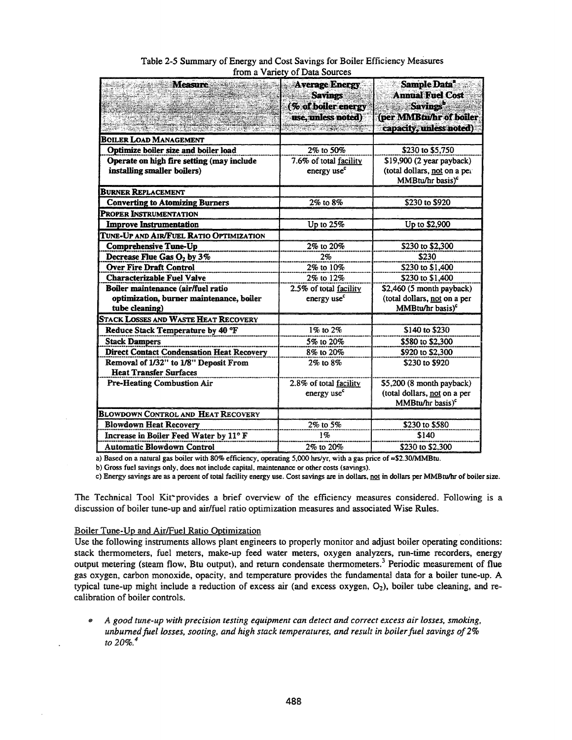| <b>Measure</b>                                                           | <b>Average Energy</b><br><b>Savings</b><br>(% of boiler energy<br>use, unless noted) | Sample Data*<br><b>Annual Fuel Cost</b><br><b>Savings</b><br>(per MMBtu/hr of boiler<br>capacity, unless noted) |
|--------------------------------------------------------------------------|--------------------------------------------------------------------------------------|-----------------------------------------------------------------------------------------------------------------|
| <b>BOILER LOAD MANAGEMENT</b>                                            |                                                                                      |                                                                                                                 |
| Optimize boiler size and boiler load                                     | 2% to 50%                                                                            | \$230 to \$5,750                                                                                                |
| Operate on high fire setting (may include<br>installing smaller boilers) | 7.6% of total facility<br>energy use <sup>c</sup>                                    | \$19,900 (2 year payback)<br>(total dollars, not on a per<br>MMBtu/hr basis) <sup>c</sup>                       |
| <b>BURNER REPLACEMENT</b>                                                |                                                                                      |                                                                                                                 |
| <b>Converting to Atomizing Burners</b>                                   | 2% to 8%                                                                             | \$230 to \$920                                                                                                  |
| PROPER INSTRUMENTATION                                                   |                                                                                      |                                                                                                                 |
| <b>Improve Instrumentation</b>                                           | Up to $25%$                                                                          | Up to \$2,900                                                                                                   |
| TUNE-UP AND AIR/FUEL RATIO OPTIMIZATION                                  |                                                                                      |                                                                                                                 |
| <b>Comprehensive Tune-Up</b>                                             | 2% to 20%                                                                            | \$230 to \$2,300                                                                                                |
| Decrease Flue Gas O <sub>2</sub> by 3%                                   | 2%                                                                                   | \$230                                                                                                           |
| <b>Over Fire Draft Control</b>                                           | 2% to 10%                                                                            | \$230 to \$1,400                                                                                                |
| <b>Characterizable Fuel Valve</b>                                        | 2% to 12%                                                                            | \$230 to \$1,400                                                                                                |
| Boiler maintenance (air/fuel ratio                                       | 2.5% of total facility                                                               | \$2,460 (5 month payback)                                                                                       |
| optimization, burner maintenance, boiler<br>tube cleaning)               | energy use <sup>c</sup>                                                              | (total dollars, not on a per<br>MMBtu/hr basis) <sup>c</sup>                                                    |
| STACK LOSSES AND WASTE HEAT RECOVERY                                     |                                                                                      |                                                                                                                 |
| Reduce Stack Temperature by 40 °F                                        | 1% to 2%                                                                             | \$140 to \$230                                                                                                  |
| <b>Stack Dampers</b>                                                     | 5% to 20%                                                                            | \$580 to \$2,300                                                                                                |
| <b>Direct Contact Condensation Heat Recovery</b>                         | 8% to 20%                                                                            | \$920 to \$2,300                                                                                                |
| Removal of 1/32" to 1/8" Deposit From<br><b>Heat Transfer Surfaces</b>   | $2\%$ to $8\%$                                                                       | \$230 to \$920                                                                                                  |
| Pre-Heating Combustion Air                                               | 2.8% of total facility<br>energy use <sup>c</sup>                                    | \$5,200 (8 month payback)<br>(total dollars, not on a per<br>MMBtu/hr basis) <sup>c</sup>                       |
| <b>BLOWDOWN CONTROL AND HEAT RECOVERY</b>                                |                                                                                      |                                                                                                                 |
| <b>Blowdown Heat Recovery</b>                                            | 2% to 5%                                                                             | \$230 to \$580                                                                                                  |
| Increase in Boiler Feed Water by 11° F                                   | 1%                                                                                   | \$140                                                                                                           |
| <b>Automatic Blowdown Control</b>                                        | 2% to 20%                                                                            | \$230 to \$2,300                                                                                                |

# Table 2-5 Summary of Energy and Cost Savings for Boiler Efficiency Measures from a Variety of Data Sources

a) Based on a natural gas boiler with 80% efficiency, operating 5,000 hrs/yr, with a gas price of =\$2.30/MMBtu.

b) Gross fuel savings only. does not include capital. maintenance or other costs (savings).

c) Energy savings are as a percent of total facility energy use. Cost savings are in dollars, not in dollars per MMBtu/hr of boiler size.

The Technical Tool Kit"provides a brief overview of the efficiency measures considered. Following is a discussion of boiler tune-up and air/fuel ratio optimization measures and associated Wise Rules.

### Boiler Tune-Up and AirlFuel Ratio Optimization

Use the following instruments allows plant engineers to properly monitor and adjust boiler operating conditions: stack thermometers, fuel meters, make-up feed water meters, oxygen analyzers, run-time recorders, energy output metering (steam flow, Btu output), and return condensate thermometers.<sup>3</sup> Periodic measurement of flue gas oxygen, carbon monoxide, opacity, and temperature provides the fundamental data for a boiler tune-up. A typical tune-up might include a reduction of excess air (and excess oxygen, O<sub>2</sub>), boiler tube cleaning, and recalibration of boiler controls.

... *A good tune-up with precision testing equipment can detect and correct excess air losses, smoking, unburnedfuel losses, sooting, and high stack temperatures, and result in boilerfuel savings of2% to 20%.4*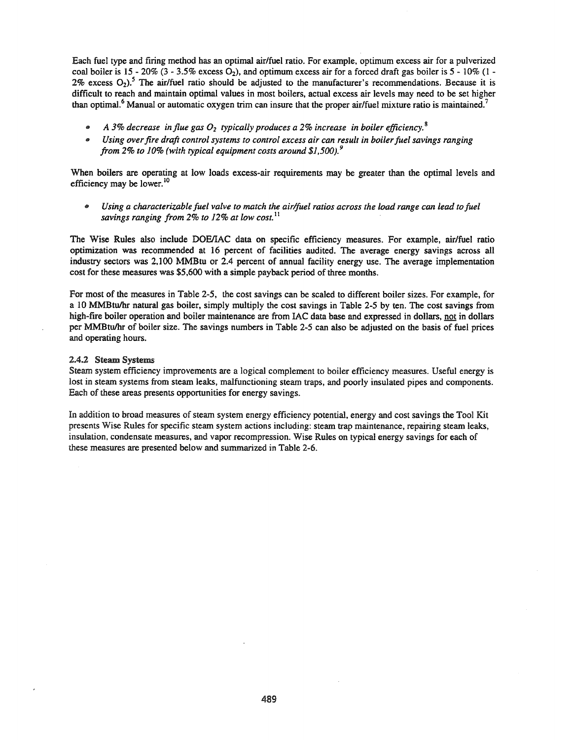Each fuel type and firing method has an optimal air/fuel ratio. For example, optimum excess air for a pulverized coal boiler is 15 - 20% (3 - 3.5% excess  $O_2$ ), and optimum excess air for a forced draft gas boiler is 5 - 10% (1 -2% excess  $O_2$ .<sup>5</sup> The air/fuel ratio should be adjusted to the manufacturer's recommendations. Because it is difficult to reach and maintain optimal values in most boilers, actual excess air levels may need to be set higher than optimal.<sup>6</sup> Manual or automatic oxygen trim can insure that the proper air/fuel mixture ratio is maintained.<sup>7</sup>

- *A* 3% *decrease in flue gas O2 typically produces a* 2% *increase in boiler efficiency.* <sup>8</sup>
- .. *Using overfire draft control systems to control excess air can result in boilerfuel savings ranging from* 2% *to 10% (with typical equipment costs around \$],500).9*

When boilers are operating at low loads excess-air requirements may be greater than the optimal levels and efficiency may be lower.<sup>10</sup>

Using a characterizable fuel valve to match the air/fuel ratios across the load range can lead to fuel *savings ranging from* 2% *to* 12% *at low cost.* <sup>11</sup>

The Wise Rules also include DOElIAC data on specific efficiency measures. For example, air/fuel ratio optimization was recommended at 16 percent of facilities audited. The average energy savings across all industry sectors was 2,100 MMBtu or 2.4 percent of annual facility energy use. The average implementation cost for these measures was \$5,600 with a simple payback period of three months.

For most of the measures in Table 2-5, the cost savings can be scaled to different boiler sizes. For example, for a 10 MMBtulhr natural gas boiler, simply multiply the cost savings in Table 2-5 by ten. The cost savings from high-fire boiler operation and boiler maintenance are from IAC data base and expressed in dollars, not in dollars per MMBtulhr of boiler size. The savings numbers in Table 2-5 can also be adjusted on the basis of fuel prices and operating hours.

#### 2.4.2 Steam Systems

Steam system efficiency improvements are a logical complement to boiler efficiency measures. Useful energy is lost in steam systems from steam leaks, malfunctioning steam traps, and poorly insulated pipes and components. Each of these areas presents opportunities for energy savings.

In addition to broad measures of steam system energy efficiency potential, energy and cost savings the Tool Kit presents Wise Rules for specific steam system actions including: steam trap maintenance, repairing steam leaks, insulation, condensate measures, and vapor recompression. Wise Rules on typical energy savings for each of these measures are presented below and summarized in Table 2-6.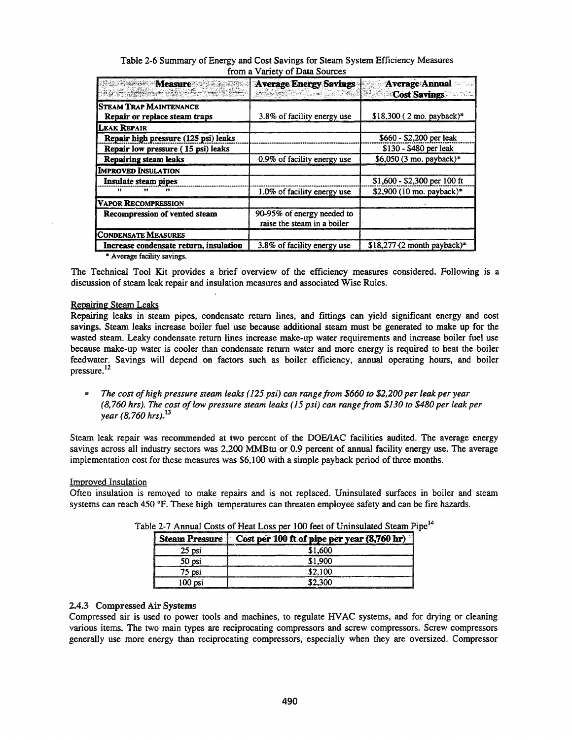| Table 2-6 Summary of Energy and Cost Savings for Steam System Efficiency Measures |                                |  |
|-----------------------------------------------------------------------------------|--------------------------------|--|
|                                                                                   | from a Variety of Data Sources |  |

| <b>Measure Algement Communications</b>                  | Average Energy Savings<br><b>PASS ROOM SPREER</b>         | Average Annual<br><b>Cost Savings</b> |
|---------------------------------------------------------|-----------------------------------------------------------|---------------------------------------|
| Steam Trap Maintenance<br>Repair or replace steam traps | 3.8% of facility energy use                               | $$18,300$ (2 mo. payback)*            |
| LEAK REPAIR                                             |                                                           |                                       |
| Repair high pressure (125 psi) leaks                    |                                                           | \$660 - \$2,200 per leak              |
| Repair low pressure (15 psi) leaks                      |                                                           | \$130 - \$480 per leak                |
| <b>Repairing steam leaks</b>                            | 0.9% of facility energy use                               | \$6,050 (3 mo. payback)*              |
| <b>IMPROVED INSULATION</b>                              |                                                           |                                       |
| Insulate steam pipes                                    |                                                           | \$1,600 - \$2,300 per 100 ft          |
| $\cdots$<br>$^{}$                                       | 1.0% of facility energy use                               | \$2,900 (10 mo. payback)*             |
| VAPOR RECOMPRESSION                                     |                                                           |                                       |
| Recompression of vented steam                           | 90-95% of energy needed to<br>raise the steam in a boiler |                                       |
| <b>CONDENSATE MEASURES</b>                              |                                                           |                                       |
| Increase condensate return, insulation                  | 3.8% of facility energy use                               | $$18,277$ (2 month payback)*          |

\* Average facility savings.

The Technical Tool Kit provides a brief overview of the efficiency measures considered. Following is a discussion of steam leak repair and insulation measures and associated Wise Rules.

### Repairing Steam Leaks

Repairing leaks in steam pipes, condensate return lines, and fittings can yield significant energy and cost savings. Steam leaks increase boiler fuel use because additional steam must be generated to make up for the wasted steam. Leaky condensate return lines increase make-up water requirements and increase boiler fuel use because make-up water is cooler than condensate return water and more energy is required to heat the boiler feedwater. Savings will depend on factors such as boiler efficiency, annual operating hours, and boiler pressure. <sup>12</sup>

dO *The cost ofhigh pressure steam leaks* (125 *psi) can range from \$660 to \$2.200 per leak per year (8.760 hrs). The cost oflow pressure steam leaks* (15 *psi) can range from \$130 to \$480 per leak per year (8.760 hrs).13*

Steam leak repair was recommended at two percent of the DOEJIAC facilities audited. The average energy savings across all industry sectors was 2,200 MMBtu or 0.9 percent of annual facility energy use. The average implementation cost for these measures was \$6,100 with a simple payback period of three months.

# Improved Insulation

Often insulation is removed to make repairs and is not replaced. Uninsulated surfaces in boiler and steam systems can reach 450 °F. These high temperatures can threaten employee safety and can be fire hazards.

|         | Steam Pressure   Cost per 100 ft of pipe per year (8,760 hr) |
|---------|--------------------------------------------------------------|
| 25 psi  | \$1.600                                                      |
| 50 psi  | \$1.900                                                      |
| 75 psi  | \$2.100                                                      |
| 100 psi | 52.300                                                       |

Table 2-7 Annual Costs of Heat Loss per 100 feet of Uninsulated Steam

# 2,4.3 Compressed Air Systems

Compressed air is used to power tools and machines, to regulate HVAC systems, and for drying or cleaning various items. The two main types are reciprocating compressors and screw compressors. Screw compressors generally use more energy than reciprocating compressors, especially when they are oversized. Compressor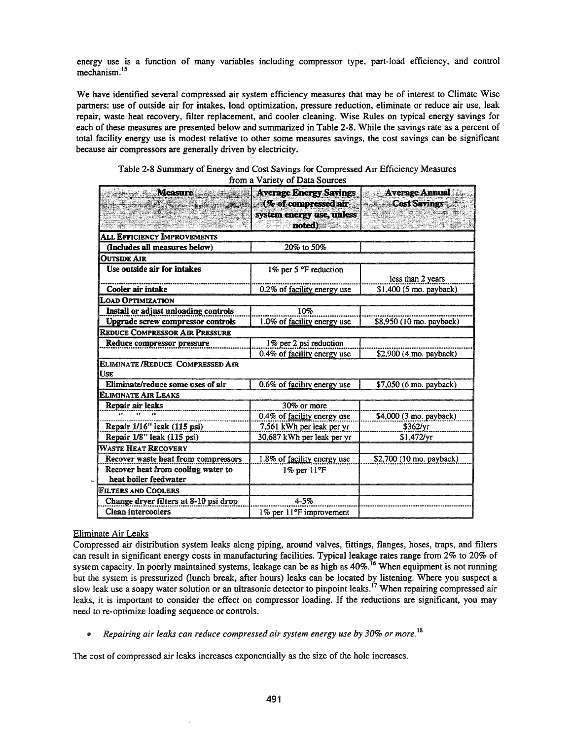energy use is a function of many variables including compressor type, part-load efficiency, and control mechanism. <sup>15</sup>

We have identified several compressed air system efficiency measures that may be of interest to Climate Wise partners: use of outside air for intakes, load optimization, pressure reduction, eliminate or reduce air use, leak repair, waste heat recovery, filter replacement, and cooler cleaning. Wise Rules on typical energy savings for each of these measures are presented below and summarized in Table 2-8. While the savings rate as a percent of total facility energy use is modest relative to other some measures savings, the cost savings can be significant because air compressors are generally driven by electricity.

| Table 2-8 Summary of Energy and Cost Savings for Compressed Air Efficiency Measures |
|-------------------------------------------------------------------------------------|
| from a Variety of Data Sources                                                      |

| <b>Measure</b>                                       | <b>Average Energy Savings</b><br>(% of compressed air<br>system energy use, unless<br>noted) | <b>Average Annual</b><br>Ž.<br><b>Cost Savings</b> |
|------------------------------------------------------|----------------------------------------------------------------------------------------------|----------------------------------------------------|
| <b>ALL EFFICIENCY IMPROVEMENTS</b>                   |                                                                                              |                                                    |
| (Includes all measures below)                        | 20% to 50%                                                                                   |                                                    |
| <b>OUTSIDE AIR</b>                                   |                                                                                              |                                                    |
| Use outside air for intakes                          | 1% per 5 °F reduction                                                                        | less than 2 years                                  |
| Cooler air intake                                    | 0.2% of facility energy use                                                                  | \$1,400 (5 mo. payback)                            |
| <b>LOAD OPTIMIZATION</b>                             |                                                                                              |                                                    |
| Install or adjust unloading controls                 | 10%                                                                                          |                                                    |
| <b>Upgrade screw compressor controls</b>             | 1.0% of facility energy use                                                                  | \$8,950 (10 mo. payback)                           |
| <b>REDUCE COMPRESSOR AIR PRESSURE</b>                |                                                                                              |                                                    |
| Reduce compressor pressure                           | 1% per 2 psi reduction                                                                       |                                                    |
|                                                      | $0.4\%$ of facility energy use                                                               | $$2,900$ (4 mo. payback)                           |
| <b>ELIMINATE/REDUCE COMPRESSED AIR</b><br><b>USE</b> |                                                                                              |                                                    |
| Eliminate/reduce some uses of air                    | 0.6% of facility energy use                                                                  | \$7,050 (6 mo. payback)                            |
| <b>ELIMINATE AIR LEAKS</b>                           |                                                                                              |                                                    |
| Repair air leaks                                     | 30% or more                                                                                  |                                                    |
|                                                      | 0.4% of facility energy use                                                                  | \$4,000 (3 mo. payback)                            |
| Repair 1/16" leak (115 psi)                          | 7,561 kWh per leak per yr                                                                    | \$362/vr                                           |
| Repair 1/8" leak (115 psi)                           | 30,687 kWh per leak per yr                                                                   | \$1,472/yr                                         |
| <b>WASTE HEAT RECOVERY</b>                           |                                                                                              |                                                    |
| Recover waste heat from compressors                  | 1.8% of facility energy use                                                                  | \$2,700 (10 mo. payback)                           |
| Recover heat from cooling water to                   | $1\%$ per $11^{\circ}$ F                                                                     |                                                    |
| heat boiler feedwater                                |                                                                                              |                                                    |
| <b>FILTERS AND COOLERS</b>                           |                                                                                              |                                                    |
| Change dryer filters at 8-10 psi drop                | $4 - 5%$                                                                                     |                                                    |
| Clean intercoolers                                   | 1% per 11°F improvement                                                                      |                                                    |

# Eliminate Air Leaks

Compressed air distribution system leaks along piping, around valves, fittings, flanges, hoses, traps, and filters can result in significant energy costs in manufacturing facilities. Typical leakage rates range from 2% to 20% of system capacity. In poorly maintained systems, leakage can be as high as  $40\%$ .<sup>16</sup> When equipment is not running but the system is pressurized (lunch break, after hours) leaks can be located by listening. Where you suspect a slow leak use a soapy water solution or an ultrasonic detector to pinpoint leaks.<sup>17</sup> When repairing compressed air leaks, it is important to consider the effect on compressor loading. If the reductions are significant, you may need to re-optimize loading sequence or controls.

.. *Repairing air leaks can reduce compressed air system energy use by 30% or more.* <sup>18</sup>

The cost of compressed air leaks increases exponentially as the size of the hole increases.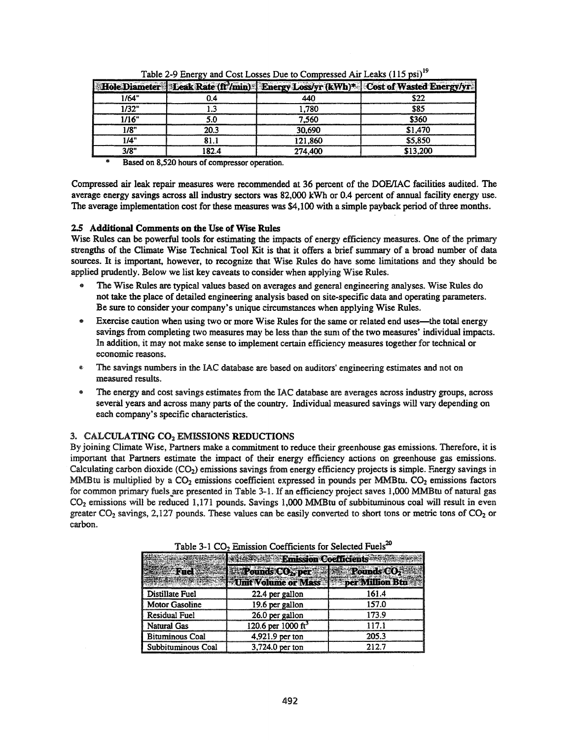|       |         |         | Hole Diameter Leak Rate (ft <sup>3</sup> /min) Energy Loss/yr (kWh) <sup>+</sup> Cost of Wasted Energy/yr |
|-------|---------|---------|-----------------------------------------------------------------------------------------------------------|
| 1/64" |         |         |                                                                                                           |
| 1/32" |         | .780    |                                                                                                           |
| 1/16" |         | 7.560   | \$360                                                                                                     |
| 1/8"  | 20.3    | 30,690  | \$1,470                                                                                                   |
| "۱/۵  |         | 121,860 | \$5,850                                                                                                   |
|       | I R 2 4 | 274,400 | \$13,200                                                                                                  |

Table 2-9 Energy and Cost Losses Due to Compressed Air Leaks (115 psi)<sup>19</sup>

Based on 8,520 hours of compressor operation.

Compressed air leak repair measures were recommended at 36 percent of the DOFJIAC facilities audited. The average energy savings across all industry sectors was 82,000 kWh or 0.4 percent of annual facility energy use. The average implementation cost for these measures was \$4,100 with a simple payback period of three months.

# 2.5 Additional Comments on the Use of Wise Rules

Wise Rules can be powerful tools for estimating the impacts of energy efficiency measures. One of the primary strengths of the Climate Wise Technical Tool Kit is that it offers a brief summary of a broad number of data sources. It is important, however, to recognize that Wise Rules do have some limitations and they should be applied prudently. Below we list key caveats to consider when applying Wise Rules.

- The Wise Rules are typical values based on averages and general engineering analyses. Wise Rules do not take the place of detailed engineering analysis based on site-specific data and operating parameters. Be sure to consider your company's unique circumstances when applying Wise Rules.
- Exercise caution when using two or more Wise Rules for the same or related end uses—the total energy savings from completing two measures may be less than the sum of the two measures' individual impacts. In addition, it may not make sense to implement certain efficiency measures together for technical or economic reasons.
- The savings numbers in the IAC database are based on auditors' engineering estimates and not on measured results.
- The energy and cost savings estimates from the IAC database are averages across industry groups, across several years and across many parts of the country. Individual measured savings will vary depending on each company's specific characteristics.

# 3. CALCULATING CO<sub>2</sub> EMISSIONS REDUCTIONS

By joining Climate Wise, Partners make a commitment to reduce their greenhouse gas emissions. Therefore, it is important that Partners estimate the impact of their energy efficiency actions on greenhouse gas emissions. Calculating carbon dioxide  $(CO<sub>2</sub>)$  emissions savings from energy efficiency projects is simple. Energy savings in MMBtu is multiplied by a  $CO<sub>2</sub>$  emissions coefficient expressed in pounds per MMBtu.  $CO<sub>2</sub>$  emissions factors for common primary fuels are presented in Table 3-1. If an efficiency project saves 1,000 MMBtu of natural gas CO2 emissions will be reduced 1,171 pounds. Savings 1,000 MMBtu of subbituminous coal will result in even greater  $CO_2$  savings, 2,127 pounds. These values can be easily converted to short tons or metric tons of  $CO_2$  or carbon.

|                        | <b>Example Emission Coefficients</b>                |       |  |
|------------------------|-----------------------------------------------------|-------|--|
|                        | Pounds CO <sub>2</sub> , per Pounds CO <sub>2</sub> |       |  |
|                        | Unit Volume or Mass of Seper Million Btu            |       |  |
| Distillate Fuel        | 22.4 per gallon                                     |       |  |
| Motor Gasoline         | 19.6 per gallon                                     | 157.0 |  |
| <b>Residual Fuel</b>   | 26.0 per gallon                                     | 173.9 |  |
| <b>Natural Gas</b>     | 120.6 per 1000 ft <sup>3</sup>                      | 117 I |  |
| <b>Bituminous Coal</b> | 4.921.9 per ton                                     | 205.3 |  |
| Subbituminous Coal     | 3.724.0 per ton                                     | 212.7 |  |

Table 3-1 CO<sub>2</sub> Emission Coefficients for Selected Fuels<sup>20</sup>